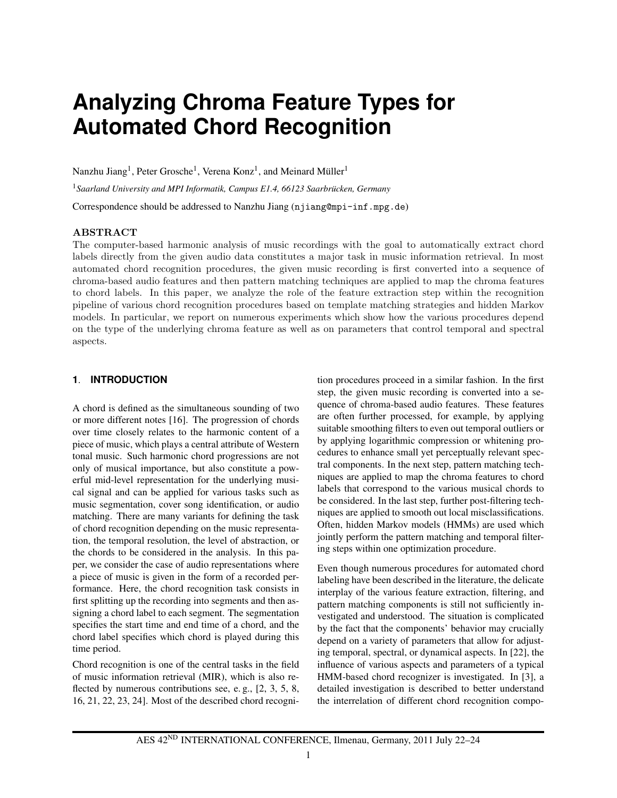# **Analyzing Chroma Feature Types for Automated Chord Recognition**

Nanzhu Jiang<sup>1</sup>, Peter Grosche<sup>1</sup>, Verena Konz<sup>1</sup>, and Meinard Müller<sup>1</sup>

<sup>1</sup> Saarland University and MPI Informatik, Campus E1.4, 66123 Saarbrücken, Germany

Correspondence should be addressed to Nanzhu Jiang (njiang@mpi-inf.mpg.de)

## ABSTRACT

The computer-based harmonic analysis of music recordings with the goal to automatically extract chord labels directly from the given audio data constitutes a major task in music information retrieval. In most automated chord recognition procedures, the given music recording is first converted into a sequence of chroma-based audio features and then pattern matching techniques are applied to map the chroma features to chord labels. In this paper, we analyze the role of the feature extraction step within the recognition pipeline of various chord recognition procedures based on template matching strategies and hidden Markov models. In particular, we report on numerous experiments which show how the various procedures depend on the type of the underlying chroma feature as well as on parameters that control temporal and spectral aspects.

## **1**. **INTRODUCTION**

A chord is defined as the simultaneous sounding of two or more different notes [16]. The progression of chords over time closely relates to the harmonic content of a piece of music, which plays a central attribute of Western tonal music. Such harmonic chord progressions are not only of musical importance, but also constitute a powerful mid-level representation for the underlying musical signal and can be applied for various tasks such as music segmentation, cover song identification, or audio matching. There are many variants for defining the task of chord recognition depending on the music representation, the temporal resolution, the level of abstraction, or the chords to be considered in the analysis. In this paper, we consider the case of audio representations where a piece of music is given in the form of a recorded performance. Here, the chord recognition task consists in first splitting up the recording into segments and then assigning a chord label to each segment. The segmentation specifies the start time and end time of a chord, and the chord label specifies which chord is played during this time period.

Chord recognition is one of the central tasks in the field of music information retrieval (MIR), which is also reflected by numerous contributions see, e. g., [2, 3, 5, 8, 16, 21, 22, 23, 24]. Most of the described chord recognition procedures proceed in a similar fashion. In the first step, the given music recording is converted into a sequence of chroma-based audio features. These features are often further processed, for example, by applying suitable smoothing filters to even out temporal outliers or by applying logarithmic compression or whitening procedures to enhance small yet perceptually relevant spectral components. In the next step, pattern matching techniques are applied to map the chroma features to chord labels that correspond to the various musical chords to be considered. In the last step, further post-filtering techniques are applied to smooth out local misclassifications. Often, hidden Markov models (HMMs) are used which jointly perform the pattern matching and temporal filtering steps within one optimization procedure.

Even though numerous procedures for automated chord labeling have been described in the literature, the delicate interplay of the various feature extraction, filtering, and pattern matching components is still not sufficiently investigated and understood. The situation is complicated by the fact that the components' behavior may crucially depend on a variety of parameters that allow for adjusting temporal, spectral, or dynamical aspects. In [22], the influence of various aspects and parameters of a typical HMM-based chord recognizer is investigated. In [3], a detailed investigation is described to better understand the interrelation of different chord recognition compo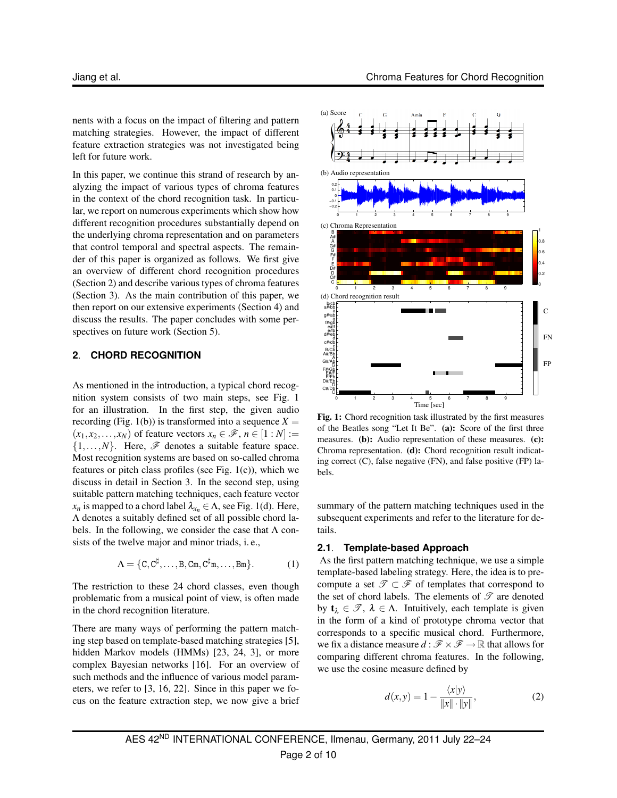nents with a focus on the impact of filtering and pattern matching strategies. However, the impact of different feature extraction strategies was not investigated being left for future work.

In this paper, we continue this strand of research by analyzing the impact of various types of chroma features in the context of the chord recognition task. In particular, we report on numerous experiments which show how different recognition procedures substantially depend on the underlying chroma representation and on parameters that control temporal and spectral aspects. The remainder of this paper is organized as follows. We first give an overview of different chord recognition procedures (Section 2) and describe various types of chroma features (Section 3). As the main contribution of this paper, we then report on our extensive experiments (Section 4) and discuss the results. The paper concludes with some perspectives on future work (Section 5).

## **2**. **CHORD RECOGNITION**

As mentioned in the introduction, a typical chord recognition system consists of two main steps, see Fig. 1 for an illustration. In the first step, the given audio recording (Fig. 1(b)) is transformed into a sequence  $X =$  $(x_1, x_2,...,x_N)$  of feature vectors  $x_n \in \mathcal{F}$ ,  $n \in [1:N] :=$  $\{1,\ldots,N\}$ . Here,  $\mathscr F$  denotes a suitable feature space. Most recognition systems are based on so-called chroma features or pitch class profiles (see Fig. 1(c)), which we discuss in detail in Section 3. In the second step, using suitable pattern matching techniques, each feature vector *x<sub>n</sub>* is mapped to a chord label  $\lambda_{x_n} \in \Lambda$ , see Fig. 1(d). Here, Λ denotes a suitably defined set of all possible chord labels. In the following, we consider the case that  $\Lambda$  consists of the twelve major and minor triads, i. e.,

$$
\Lambda = \{C, C^{\sharp}, \dots, B, C^{\mathfrak{m}}, C^{\sharp} \mathfrak{m}, \dots, B \mathfrak{m}\}.
$$
 (1)

The restriction to these 24 chord classes, even though problematic from a musical point of view, is often made in the chord recognition literature.

There are many ways of performing the pattern matching step based on template-based matching strategies [5], hidden Markov models (HMMs) [23, 24, 3], or more complex Bayesian networks [16]. For an overview of such methods and the influence of various model parameters, we refer to [3, 16, 22]. Since in this paper we focus on the feature extraction step, we now give a brief



**Fig. 1:** Chord recognition task illustrated by the first measures of the Beatles song "Let It Be". **(a):** Score of the first three measures. **(b):** Audio representation of these measures. **(c):** Chroma representation. **(d):** Chord recognition result indicating correct (C), false negative (FN), and false positive (FP) labels.

summary of the pattern matching techniques used in the subsequent experiments and refer to the literature for details.

#### **2.1**. **Template-based Approach**

As the first pattern matching technique, we use a simple template-based labeling strategy. Here, the idea is to precompute a set  $\mathscr{T} \subset \mathscr{F}$  of templates that correspond to the set of chord labels. The elements of  $\mathscr T$  are denoted by  $t_{\lambda} \in \mathcal{T}$ ,  $\lambda \in \Lambda$ . Intuitively, each template is given in the form of a kind of prototype chroma vector that corresponds to a specific musical chord. Furthermore, we fix a distance measure  $d : \mathcal{F} \times \mathcal{F} \to \mathbb{R}$  that allows for comparing different chroma features. In the following, we use the cosine measure defined by

$$
d(x,y) = 1 - \frac{\langle x|y \rangle}{\|x\| \cdot \|y\|},\tag{2}
$$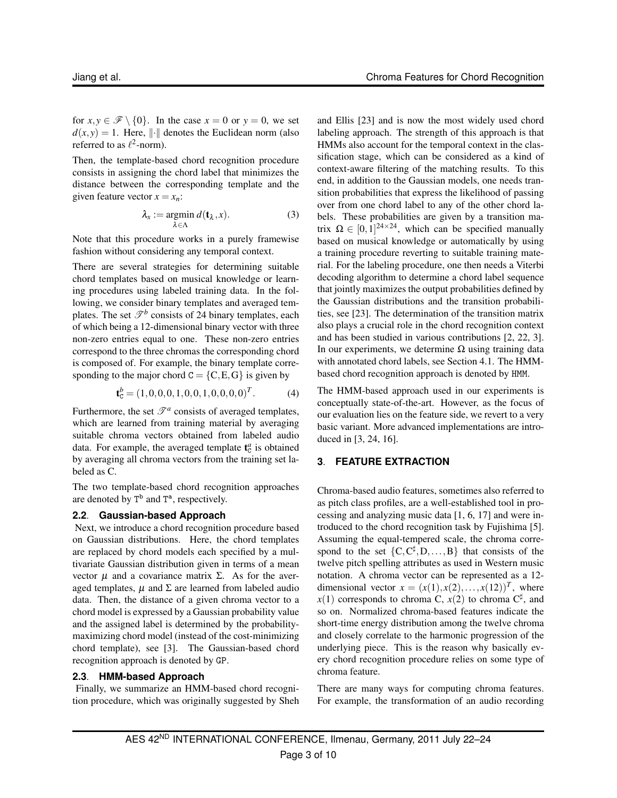for  $x, y \in \mathcal{F} \setminus \{0\}$ . In the case  $x = 0$  or  $y = 0$ , we set  $d(x, y) = 1$ . Here, || || denotes the Euclidean norm (also referred to as  $\ell^2$ -norm).

Then, the template-based chord recognition procedure consists in assigning the chord label that minimizes the distance between the corresponding template and the given feature vector  $x = x_n$ :

$$
\lambda_x := \operatorname*{argmin}_{\lambda \in \Lambda} d(\mathbf{t}_{\lambda}, x). \tag{3}
$$

Note that this procedure works in a purely framewise fashion without considering any temporal context.

There are several strategies for determining suitable chord templates based on musical knowledge or learning procedures using labeled training data. In the following, we consider binary templates and averaged templates. The set  $\mathcal{T}^b$  consists of 24 binary templates, each of which being a 12-dimensional binary vector with three non-zero entries equal to one. These non-zero entries correspond to the three chromas the corresponding chord is composed of. For example, the binary template corresponding to the major chord  $C = \{C, E, G\}$  is given by

$$
\mathbf{t}_{\mathrm{C}}^{b} = (1,0,0,0,1,0,0,1,0,0,0,0)^{T}.
$$
 (4)

Furthermore, the set  $\mathcal{T}^a$  consists of averaged templates, which are learned from training material by averaging suitable chroma vectors obtained from labeled audio data. For example, the averaged template  $t_c^a$  is obtained by averaging all chroma vectors from the training set labeled as C.

The two template-based chord recognition approaches are denoted by  $T^b$  and  $T^a$ , respectively.

## **2.2**. **Gaussian-based Approach**

Next, we introduce a chord recognition procedure based on Gaussian distributions. Here, the chord templates are replaced by chord models each specified by a multivariate Gaussian distribution given in terms of a mean vector  $\mu$  and a covariance matrix Σ. As for the averaged templates,  $\mu$  and  $\Sigma$  are learned from labeled audio data. Then, the distance of a given chroma vector to a chord model is expressed by a Gaussian probability value and the assigned label is determined by the probabilitymaximizing chord model (instead of the cost-minimizing chord template), see [3]. The Gaussian-based chord recognition approach is denoted by GP.

## **2.3**. **HMM-based Approach**

Finally, we summarize an HMM-based chord recognition procedure, which was originally suggested by Sheh and Ellis [23] and is now the most widely used chord labeling approach. The strength of this approach is that HMMs also account for the temporal context in the classification stage, which can be considered as a kind of context-aware filtering of the matching results. To this end, in addition to the Gaussian models, one needs transition probabilities that express the likelihood of passing over from one chord label to any of the other chord labels. These probabilities are given by a transition matrix  $\Omega \in [0,1]^{24 \times 24}$ , which can be specified manually based on musical knowledge or automatically by using a training procedure reverting to suitable training material. For the labeling procedure, one then needs a Viterbi decoding algorithm to determine a chord label sequence that jointly maximizes the output probabilities defined by the Gaussian distributions and the transition probabilities, see [23]. The determination of the transition matrix also plays a crucial role in the chord recognition context and has been studied in various contributions [2, 22, 3]. In our experiments, we determine  $Ω$  using training data with annotated chord labels, see Section 4.1. The HMMbased chord recognition approach is denoted by HMM.

The HMM-based approach used in our experiments is conceptually state-of-the-art. However, as the focus of our evaluation lies on the feature side, we revert to a very basic variant. More advanced implementations are introduced in [3, 24, 16].

## **3**. **FEATURE EXTRACTION**

Chroma-based audio features, sometimes also referred to as pitch class profiles, are a well-established tool in processing and analyzing music data [1, 6, 17] and were introduced to the chord recognition task by Fujishima [5]. Assuming the equal-tempered scale, the chroma correspond to the set  ${C, C^{\sharp}, D, \ldots, B}$  that consists of the twelve pitch spelling attributes as used in Western music notation. A chroma vector can be represented as a 12 dimensional vector  $x = (x(1), x(2), \ldots, x(12))^T$ , where  $x(1)$  corresponds to chroma C,  $x(2)$  to chroma C<sup>‡</sup>, and so on. Normalized chroma-based features indicate the short-time energy distribution among the twelve chroma and closely correlate to the harmonic progression of the underlying piece. This is the reason why basically every chord recognition procedure relies on some type of chroma feature.

There are many ways for computing chroma features. For example, the transformation of an audio recording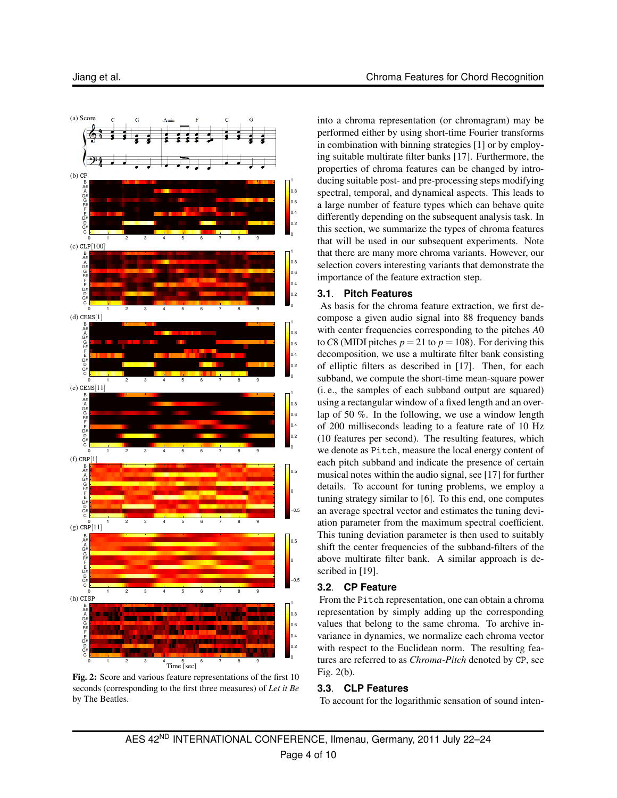

**Fig. 2:** Score and various feature representations of the first 10 seconds (corresponding to the first three measures) of *Let it Be* by The Beatles.

into a chroma representation (or chromagram) may be performed either by using short-time Fourier transforms in combination with binning strategies [1] or by employing suitable multirate filter banks [17]. Furthermore, the properties of chroma features can be changed by introducing suitable post- and pre-processing steps modifying spectral, temporal, and dynamical aspects. This leads to a large number of feature types which can behave quite differently depending on the subsequent analysis task. In this section, we summarize the types of chroma features that will be used in our subsequent experiments. Note that there are many more chroma variants. However, our selection covers interesting variants that demonstrate the importance of the feature extraction step.

## **3.1**. **Pitch Features**

As basis for the chroma feature extraction, we first decompose a given audio signal into 88 frequency bands with center frequencies corresponding to the pitches *A*0 to C8 (MIDI pitches  $p = 21$  to  $p = 108$ ). For deriving this decomposition, we use a multirate filter bank consisting of elliptic filters as described in [17]. Then, for each subband, we compute the short-time mean-square power (i. e., the samples of each subband output are squared) using a rectangular window of a fixed length and an overlap of 50 %. In the following, we use a window length of 200 milliseconds leading to a feature rate of 10 Hz (10 features per second). The resulting features, which we denote as Pitch, measure the local energy content of each pitch subband and indicate the presence of certain musical notes within the audio signal, see [17] for further details. To account for tuning problems, we employ a tuning strategy similar to [6]. To this end, one computes an average spectral vector and estimates the tuning deviation parameter from the maximum spectral coefficient. This tuning deviation parameter is then used to suitably shift the center frequencies of the subband-filters of the above multirate filter bank. A similar approach is described in [19].

## **3.2**. **CP Feature**

From the Pitch representation, one can obtain a chroma representation by simply adding up the corresponding values that belong to the same chroma. To archive invariance in dynamics, we normalize each chroma vector with respect to the Euclidean norm. The resulting features are referred to as *Chroma-Pitch* denoted by CP, see Fig. 2(b).

## **3.3**. **CLP Features**

To account for the logarithmic sensation of sound inten-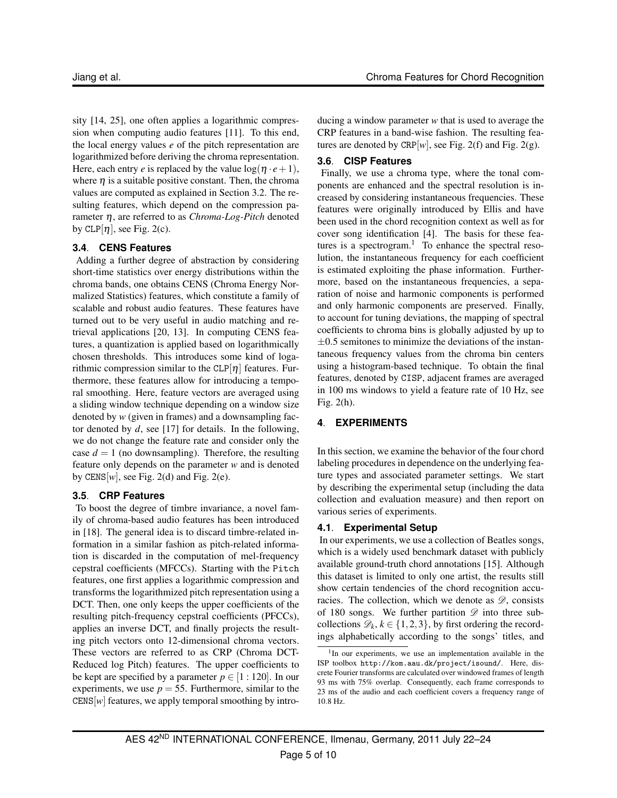sity [14, 25], one often applies a logarithmic compression when computing audio features [11]. To this end, the local energy values *e* of the pitch representation are logarithmized before deriving the chroma representation. Here, each entry *e* is replaced by the value  $log(\eta \cdot e + 1)$ , where  $\eta$  is a suitable positive constant. Then, the chroma values are computed as explained in Section 3.2. The resulting features, which depend on the compression parameter η, are referred to as *Chroma-Log-Pitch* denoted by CLP[ $\eta$ ], see Fig. 2(c).

## **3.4**. **CENS Features**

Adding a further degree of abstraction by considering short-time statistics over energy distributions within the chroma bands, one obtains CENS (Chroma Energy Normalized Statistics) features, which constitute a family of scalable and robust audio features. These features have turned out to be very useful in audio matching and retrieval applications [20, 13]. In computing CENS features, a quantization is applied based on logarithmically chosen thresholds. This introduces some kind of logarithmic compression similar to the  $CLP[\eta]$  features. Furthermore, these features allow for introducing a temporal smoothing. Here, feature vectors are averaged using a sliding window technique depending on a window size denoted by *w* (given in frames) and a downsampling factor denoted by  $d$ , see [17] for details. In the following, we do not change the feature rate and consider only the case  $d = 1$  (no downsampling). Therefore, the resulting feature only depends on the parameter *w* and is denoted by CENS $[w]$ , see Fig. 2(d) and Fig. 2(e).

## **3.5**. **CRP Features**

To boost the degree of timbre invariance, a novel family of chroma-based audio features has been introduced in [18]. The general idea is to discard timbre-related information in a similar fashion as pitch-related information is discarded in the computation of mel-frequency cepstral coefficients (MFCCs). Starting with the Pitch features, one first applies a logarithmic compression and transforms the logarithmized pitch representation using a DCT. Then, one only keeps the upper coefficients of the resulting pitch-frequency cepstral coefficients (PFCCs), applies an inverse DCT, and finally projects the resulting pitch vectors onto 12-dimensional chroma vectors. These vectors are referred to as CRP (Chroma DCT-Reduced log Pitch) features. The upper coefficients to be kept are specified by a parameter  $p \in [1:120]$ . In our experiments, we use  $p = 55$ . Furthermore, similar to the  $CENS[w]$  features, we apply temporal smoothing by introducing a window parameter *w* that is used to average the CRP features in a band-wise fashion. The resulting features are denoted by CRP[ $w$ ], see Fig. 2(f) and Fig. 2(g).

## **3.6**. **CISP Features**

Finally, we use a chroma type, where the tonal components are enhanced and the spectral resolution is increased by considering instantaneous frequencies. These features were originally introduced by Ellis and have been used in the chord recognition context as well as for cover song identification [4]. The basis for these features is a spectrogram.<sup>1</sup> To enhance the spectral resolution, the instantaneous frequency for each coefficient is estimated exploiting the phase information. Furthermore, based on the instantaneous frequencies, a separation of noise and harmonic components is performed and only harmonic components are preserved. Finally, to account for tuning deviations, the mapping of spectral coefficients to chroma bins is globally adjusted by up to  $\pm 0.5$  semitones to minimize the deviations of the instantaneous frequency values from the chroma bin centers using a histogram-based technique. To obtain the final features, denoted by CISP, adjacent frames are averaged in 100 ms windows to yield a feature rate of 10 Hz, see Fig. 2(h).

# **4**. **EXPERIMENTS**

In this section, we examine the behavior of the four chord labeling procedures in dependence on the underlying feature types and associated parameter settings. We start by describing the experimental setup (including the data collection and evaluation measure) and then report on various series of experiments.

## **4.1**. **Experimental Setup**

In our experiments, we use a collection of Beatles songs, which is a widely used benchmark dataset with publicly available ground-truth chord annotations [15]. Although this dataset is limited to only one artist, the results still show certain tendencies of the chord recognition accuracies. The collection, which we denote as  $\mathscr{D}$ , consists of 180 songs. We further partition  $\mathscr D$  into three subcollections  $\mathcal{D}_k$ ,  $k \in \{1, 2, 3\}$ , by first ordering the recordings alphabetically according to the songs' titles, and

<sup>&</sup>lt;sup>1</sup>In our experiments, we use an implementation available in the ISP toolbox http://kom.aau.dk/project/isound/. Here, discrete Fourier transforms are calculated over windowed frames of length 93 ms with 75% overlap. Consequently, each frame corresponds to 23 ms of the audio and each coefficient covers a frequency range of 10.8 Hz.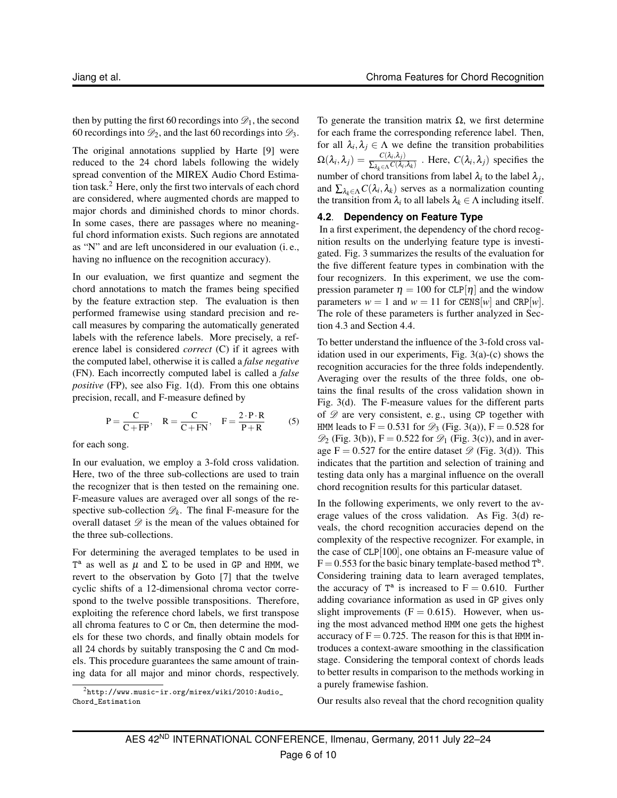then by putting the first 60 recordings into  $\mathcal{D}_1$ , the second 60 recordings into  $\mathcal{D}_2$ , and the last 60 recordings into  $\mathcal{D}_3$ .

The original annotations supplied by Harte [9] were reduced to the 24 chord labels following the widely spread convention of the MIREX Audio Chord Estimation task.<sup>2</sup> Here, only the first two intervals of each chord are considered, where augmented chords are mapped to major chords and diminished chords to minor chords. In some cases, there are passages where no meaningful chord information exists. Such regions are annotated as "N" and are left unconsidered in our evaluation (i. e., having no influence on the recognition accuracy).

In our evaluation, we first quantize and segment the chord annotations to match the frames being specified by the feature extraction step. The evaluation is then performed framewise using standard precision and recall measures by comparing the automatically generated labels with the reference labels. More precisely, a reference label is considered *correct* (C) if it agrees with the computed label, otherwise it is called a *false negative* (FN). Each incorrectly computed label is called a *false positive* (FP), see also Fig. 1(d). From this one obtains precision, recall, and F-measure defined by

$$
P = \frac{C}{C + FP}, \quad R = \frac{C}{C + FN}, \quad F = \frac{2 \cdot P \cdot R}{P + R} \tag{5}
$$

for each song.

In our evaluation, we employ a 3-fold cross validation. Here, two of the three sub-collections are used to train the recognizer that is then tested on the remaining one. F-measure values are averaged over all songs of the respective sub-collection  $\mathcal{D}_k$ . The final F-measure for the overall dataset  $\mathscr D$  is the mean of the values obtained for the three sub-collections.

For determining the averaged templates to be used in  $T^a$  as well as  $\mu$  and  $\Sigma$  to be used in GP and HMM, we revert to the observation by Goto [7] that the twelve cyclic shifts of a 12-dimensional chroma vector correspond to the twelve possible transpositions. Therefore, exploiting the reference chord labels, we first transpose all chroma features to C or Cm, then determine the models for these two chords, and finally obtain models for all 24 chords by suitably transposing the C and Cm models. This procedure guarantees the same amount of training data for all major and minor chords, respectively. To generate the transition matrix  $\Omega$ , we first determine for each frame the corresponding reference label. Then, for all  $\lambda_i, \lambda_j \in \Lambda$  we define the transition probabilities  $\Omega(\lambda_i,\lambda_j) = \frac{C(\lambda_i,\lambda_j)}{\sum_{\lambda_i\in \Lambda} C(\lambda_i)}$  $\frac{\sum_{\lambda_k \in \Lambda} C(\lambda_i, \lambda_j)}{\sum_{\lambda_k \in \Lambda} C(\lambda_i, \lambda_k)}$ . Here,  $C(\lambda_i, \lambda_j)$  specifies the number of chord transitions from label  $\lambda_i$  to the label  $\lambda_j$ , and  $\sum_{\lambda_k \in \Lambda} C(\lambda_i, \lambda_k)$  serves as a normalization counting the transition from  $\lambda_i$  to all labels  $\lambda_k \in \Lambda$  including itself.

## **4.2**. **Dependency on Feature Type**

In a first experiment, the dependency of the chord recognition results on the underlying feature type is investigated. Fig. 3 summarizes the results of the evaluation for the five different feature types in combination with the four recognizers. In this experiment, we use the compression parameter  $\eta = 100$  for CLP[ $\eta$ ] and the window parameters  $w = 1$  and  $w = 11$  for CENS[*w*] and CRP[*w*]. The role of these parameters is further analyzed in Section 4.3 and Section 4.4.

To better understand the influence of the 3-fold cross validation used in our experiments, Fig. 3(a)-(c) shows the recognition accuracies for the three folds independently. Averaging over the results of the three folds, one obtains the final results of the cross validation shown in Fig. 3(d). The F-measure values for the different parts of  $\mathscr{D}$  are very consistent, e.g., using CP together with HMM leads to  $F = 0.531$  for  $\mathcal{D}_3$  (Fig. 3(a)),  $F = 0.528$  for  $\mathcal{D}_2$  (Fig. 3(b)), F = 0.522 for  $\mathcal{D}_1$  (Fig. 3(c)), and in average  $F = 0.527$  for the entire dataset  $\mathscr{D}$  (Fig. 3(d)). This indicates that the partition and selection of training and testing data only has a marginal influence on the overall chord recognition results for this particular dataset.

In the following experiments, we only revert to the average values of the cross validation. As Fig. 3(d) reveals, the chord recognition accuracies depend on the complexity of the respective recognizer. For example, in the case of CLP[100], one obtains an F-measure value of  $F = 0.553$  for the basic binary template-based method  $T<sup>b</sup>$ . Considering training data to learn averaged templates, the accuracy of  $T^a$  is increased to  $F = 0.610$ . Further adding covariance information as used in GP gives only slight improvements  $(F = 0.615)$ . However, when using the most advanced method HMM one gets the highest accuracy of  $F = 0.725$ . The reason for this is that HMM introduces a context-aware smoothing in the classification stage. Considering the temporal context of chords leads to better results in comparison to the methods working in a purely framewise fashion.

Our results also reveal that the chord recognition quality

<sup>2</sup>http://www.music-ir.org/mirex/wiki/2010:Audio\_ Chord\_Estimation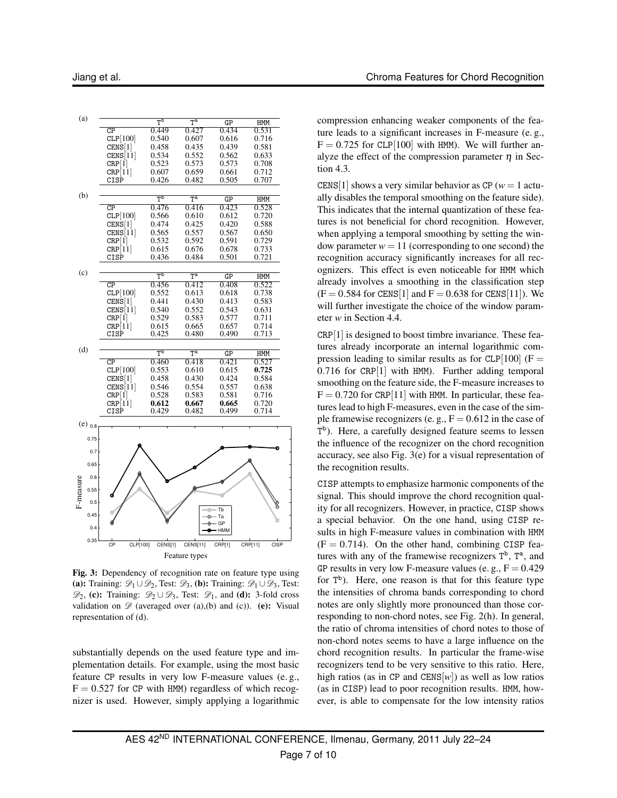| (a)           |                        | $\bar{T}^{\overline{b}}$             | $T^{\rm a}$                          | GP     | HMM                    |
|---------------|------------------------|--------------------------------------|--------------------------------------|--------|------------------------|
|               | $\overline{\text{CP}}$ | 0.449                                | 0.427                                | 0.434  | 0.531                  |
|               | CLP[100]               | 0.540                                | 0.607                                | 0.616  | 0.716                  |
|               | CENS[1]                | 0.458                                | 0.435                                | 0.439  | 0.581                  |
|               | CENS[11]               | 0.534                                | 0.552                                | 0.562  | 0.633                  |
|               | CRP[1]                 | 0.523                                | 0.573                                | 0.573  | 0.708                  |
|               | CRP[11]                | 0.607                                | 0.659                                | 0.661  | 0.712                  |
|               | CISP                   | 0.426                                | 0.482                                | 0.505  | 0.707                  |
|               |                        |                                      |                                      |        |                        |
| (b)           |                        |                                      |                                      |        |                        |
|               |                        | $\overline{\mathsf{T}^{\mathsf{b}}}$ | $T^{\rm a}$                          | GP     | HMM                    |
|               | $\overline{\text{CP}}$ | 0.476                                | 0.416                                | 0.423  | 0.528                  |
|               | CLP[100]               | 0.566                                | 0.610                                | 0.612  | 0.720                  |
|               | $CEN\dot{S}[1]$        | 0.474                                | 0.425                                | 0.420  | 0.588                  |
|               | CENS[11]               | 0.565                                | 0.557                                | 0.567  | 0.650                  |
|               | CRP 1                  | 0.532                                | 0.592                                | 0.591  | 0.729                  |
|               | CRP[11]                | 0.615                                | 0.676                                | 0.678  | 0.733                  |
|               | CISP                   | 0.436                                | 0.484                                | 0.501  | 0.721                  |
|               |                        |                                      |                                      |        |                        |
| (c)           |                        |                                      |                                      |        |                        |
|               |                        | TP                                   | $T^{\rm a}$                          | GP     | HMM                    |
|               | $\overline{\text{CP}}$ | 0.456                                | 0.412                                | 0.408  | 0.522                  |
|               | CLP[100]               | 0.552                                | 0.613                                | 0.618  | 0.738                  |
|               | CENS[1]                | 0.441                                | 0.430                                | 0.413  | 0.583                  |
|               | CENS[11]               | 0.540                                | 0.552                                | 0.543  | 0.631                  |
|               | CRP 1                  | 0.529                                | 0.583                                | 0.577  | 0.711                  |
|               | CRP[11]                | 0.615                                | 0.665                                | 0.657  | 0.714                  |
|               | CISP                   | 0.425                                | 0.480                                | 0.490  | 0.713                  |
|               |                        |                                      |                                      |        |                        |
| (d)           |                        |                                      |                                      |        |                        |
|               |                        | $\overline{\mathsf{T}^{\mathsf{b}}}$ | $\overline{\mathsf{T}^{\mathrm{a}}}$ | GP     | HMM                    |
|               | $\overline{\text{CP}}$ | 0.460                                | 0.418                                | 0.421  | 0.527                  |
|               | CLP[100]               | 0.553                                | 0.610                                | 0.615  | 0.725                  |
|               | CENS[1]                | 0.458                                | 0.430                                | 0.424  | 0.584                  |
|               | CENS[11]               | 0.546                                | 0.554                                | 0.557  | 0.638                  |
|               | CRP[1]                 | 0.528                                | 0.583                                | 0.581  | 0.716                  |
|               | CRP[11]                | 0.612                                | 0.667                                | 0.665  | 0.720                  |
|               | CISP                   | 0.429                                | 0.482                                | 0.499  | 0.714                  |
|               |                        |                                      |                                      |        |                        |
| $(e)_{0.8}$   |                        |                                      |                                      |        |                        |
|               |                        |                                      |                                      |        |                        |
| 0.75          |                        |                                      |                                      |        |                        |
|               |                        |                                      |                                      |        |                        |
| 0.7           |                        |                                      |                                      |        |                        |
| 0.65          |                        |                                      |                                      |        |                        |
|               |                        |                                      |                                      |        |                        |
| 0.6           |                        |                                      |                                      |        |                        |
| F-measure     |                        |                                      |                                      |        |                        |
| 0.55          |                        |                                      |                                      |        |                        |
| 0.5           |                        |                                      |                                      |        |                        |
|               |                        |                                      |                                      | Tb     |                        |
| 0.45          |                        |                                      |                                      | Ta     |                        |
|               |                        |                                      |                                      | GP     |                        |
| 0.4           |                        |                                      |                                      | HMM    |                        |
| 0.35          |                        |                                      |                                      |        |                        |
|               | CLP[100]<br>CP         | CENS[1]                              | <b>CENS[11]</b>                      | CRP[1] | CRP[11]<br><b>CISP</b> |
| Feature types |                        |                                      |                                      |        |                        |
|               |                        |                                      |                                      |        |                        |

**Fig. 3:** Dependency of recognition rate on feature type using **(a):** Training:  $\mathcal{D}_1 \cup \mathcal{D}_2$ , Test:  $\mathcal{D}_3$ , **(b):** Training:  $\mathcal{D}_1 \cup \mathcal{D}_3$ , Test:  $\mathcal{D}_2$ , (c): Training:  $\mathcal{D}_2 \cup \mathcal{D}_3$ , Test:  $\mathcal{D}_1$ , and (d): 3-fold cross validation on  $\mathscr{D}$  (averaged over (a),(b) and (c)). **(e):** Visual representation of (d).

substantially depends on the used feature type and implementation details. For example, using the most basic feature CP results in very low F-measure values (e. g.,  $F = 0.527$  for CP with HMM) regardless of which recognizer is used. However, simply applying a logarithmic compression enhancing weaker components of the feature leads to a significant increases in F-measure (e. g.,  $F = 0.725$  for CLP[100] with HMM). We will further analyze the effect of the compression parameter  $\eta$  in Section 4.3.

CENS[1] shows a very similar behavior as CP ( $w = 1$  actually disables the temporal smoothing on the feature side). This indicates that the internal quantization of these features is not beneficial for chord recognition. However, when applying a temporal smoothing by setting the window parameter  $w = 11$  (corresponding to one second) the recognition accuracy significantly increases for all recognizers. This effect is even noticeable for HMM which already involves a smoothing in the classification step  $(F = 0.584$  for CENS[1] and  $F = 0.638$  for CENS[11]). We will further investigate the choice of the window parameter *w* in Section 4.4.

CRP[1] is designed to boost timbre invariance. These features already incorporate an internal logarithmic compression leading to similar results as for  $CLP[100]$  (F = 0.716 for CRP[1] with HMM). Further adding temporal smoothing on the feature side, the F-measure increases to  $F = 0.720$  for CRP[11] with HMM. In particular, these features lead to high F-measures, even in the case of the simple framewise recognizers (e.g.,  $F = 0.612$  in the case of T<sup>b</sup>). Here, a carefully designed feature seems to lessen the influence of the recognizer on the chord recognition accuracy, see also Fig. 3(e) for a visual representation of the recognition results.

CISP attempts to emphasize harmonic components of the signal. This should improve the chord recognition quality for all recognizers. However, in practice, CISP shows a special behavior. On the one hand, using CISP results in high F-measure values in combination with HMM  $(F = 0.714)$ . On the other hand, combining CISP features with any of the framewise recognizers  $T^b$ ,  $T^a$ , and GP results in very low F-measure values (e. g.,  $F = 0.429$ ) for  $T^b$ ). Here, one reason is that for this feature type the intensities of chroma bands corresponding to chord notes are only slightly more pronounced than those corresponding to non-chord notes, see Fig. 2(h). In general, the ratio of chroma intensities of chord notes to those of non-chord notes seems to have a large influence on the chord recognition results. In particular the frame-wise recognizers tend to be very sensitive to this ratio. Here, high ratios (as in CP and  $CENS[w]$ ) as well as low ratios (as in CISP) lead to poor recognition results. HMM, however, is able to compensate for the low intensity ratios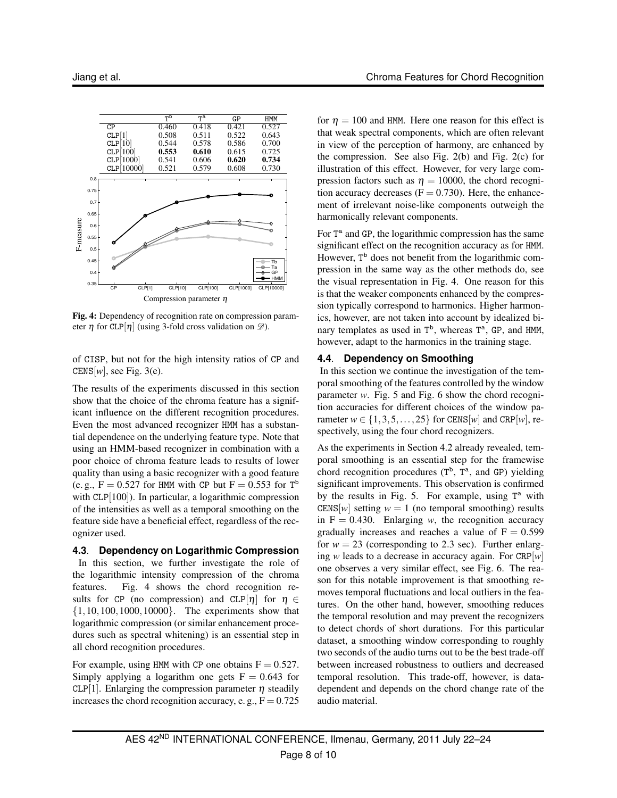

**Fig. 4:** Dependency of recognition rate on compression parameter  $\eta$  for CLP[ $\eta$ ] (using 3-fold cross validation on  $\mathscr{D}$ ).

of CISP, but not for the high intensity ratios of CP and CENS[ $w$ ], see Fig. 3(e).

The results of the experiments discussed in this section show that the choice of the chroma feature has a significant influence on the different recognition procedures. Even the most advanced recognizer HMM has a substantial dependence on the underlying feature type. Note that using an HMM-based recognizer in combination with a poor choice of chroma feature leads to results of lower quality than using a basic recognizer with a good feature (e.g.,  $F = 0.527$  for HMM with CP but  $F = 0.553$  for  $T^b$ with CLP[100]). In particular, a logarithmic compression of the intensities as well as a temporal smoothing on the feature side have a beneficial effect, regardless of the recognizer used.

#### **4.3**. **Dependency on Logarithmic Compression**

In this section, we further investigate the role of the logarithmic intensity compression of the chroma features. Fig. 4 shows the chord recognition results for CP (no compression) and CLP[ $\eta$ ] for  $\eta \in$ {1,10,100,1000,10000}. The experiments show that logarithmic compression (or similar enhancement procedures such as spectral whitening) is an essential step in all chord recognition procedures.

For example, using HMM with CP one obtains  $F = 0.527$ . Simply applying a logarithm one gets  $F = 0.643$  for CLP[1]. Enlarging the compression parameter  $\eta$  steadily increases the chord recognition accuracy, e.g.,  $F = 0.725$  for  $\eta = 100$  and HMM. Here one reason for this effect is that weak spectral components, which are often relevant in view of the perception of harmony, are enhanced by the compression. See also Fig. 2(b) and Fig. 2(c) for illustration of this effect. However, for very large compression factors such as  $\eta = 10000$ , the chord recognition accuracy decreases  $(F = 0.730)$ . Here, the enhancement of irrelevant noise-like components outweigh the harmonically relevant components.

For T<sup>a</sup> and GP, the logarithmic compression has the same significant effect on the recognition accuracy as for HMM. However, T<sup>b</sup> does not benefit from the logarithmic compression in the same way as the other methods do, see the visual representation in Fig. 4. One reason for this is that the weaker components enhanced by the compression typically correspond to harmonics. Higher harmonics, however, are not taken into account by idealized binary templates as used in T<sup>b</sup>, whereas T<sup>a</sup>, GP, and HMM, however, adapt to the harmonics in the training stage.

## **4.4**. **Dependency on Smoothing**

In this section we continue the investigation of the temporal smoothing of the features controlled by the window parameter *w*. Fig. 5 and Fig. 6 show the chord recognition accuracies for different choices of the window parameter  $w \in \{1, 3, 5, \ldots, 25\}$  for CENS[*w*] and CRP[*w*], respectively, using the four chord recognizers.

As the experiments in Section 4.2 already revealed, temporal smoothing is an essential step for the framewise chord recognition procedures  $(T^b, T^a,$  and GP) yielding significant improvements. This observation is confirmed by the results in Fig. 5. For example, using  $T^a$  with CENS[w] setting  $w = 1$  (no temporal smoothing) results in  $F = 0.430$ . Enlarging *w*, the recognition accuracy gradually increases and reaches a value of  $F = 0.599$ for  $w = 23$  (corresponding to 2.3 sec). Further enlarging *w* leads to a decrease in accuracy again. For CRP[*w*] one observes a very similar effect, see Fig. 6. The reason for this notable improvement is that smoothing removes temporal fluctuations and local outliers in the features. On the other hand, however, smoothing reduces the temporal resolution and may prevent the recognizers to detect chords of short durations. For this particular dataset, a smoothing window corresponding to roughly two seconds of the audio turns out to be the best trade-off between increased robustness to outliers and decreased temporal resolution. This trade-off, however, is datadependent and depends on the chord change rate of the audio material.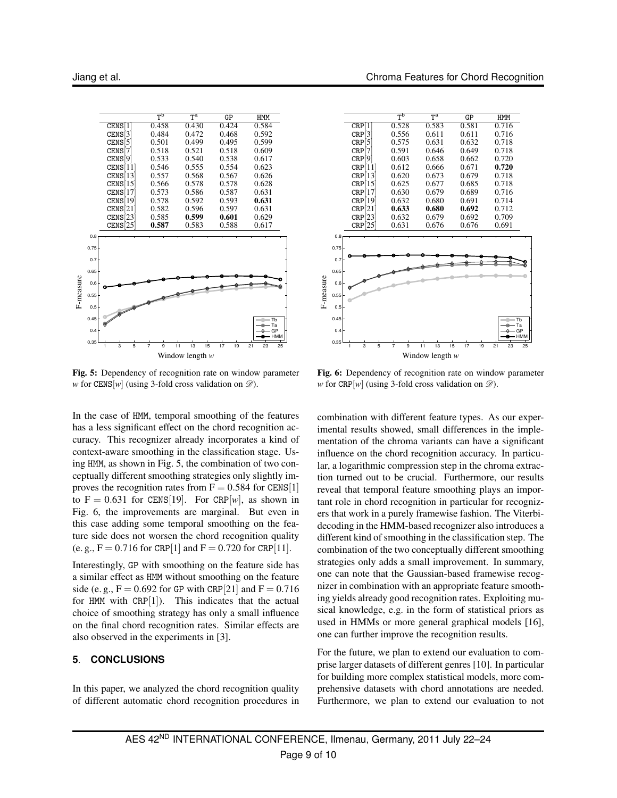

**Fig. 5:** Dependency of recognition rate on window parameter *w* for CENS[*w*] (using 3-fold cross validation on  $\mathscr{D}$ ).

In the case of HMM, temporal smoothing of the features has a less significant effect on the chord recognition accuracy. This recognizer already incorporates a kind of context-aware smoothing in the classification stage. Using HMM, as shown in Fig. 5, the combination of two conceptually different smoothing strategies only slightly improves the recognition rates from  $F = 0.584$  for CENS[1] to  $F = 0.631$  for CENS[19]. For CRP[w], as shown in Fig. 6, the improvements are marginal. But even in this case adding some temporal smoothing on the feature side does not worsen the chord recognition quality (e. g.,  $F = 0.716$  for CRP[1] and  $F = 0.720$  for CRP[11].

Interestingly, GP with smoothing on the feature side has a similar effect as HMM without smoothing on the feature side (e.g.,  $F = 0.692$  for GP with CRP[21] and  $F = 0.716$ for HMM with  $CRP[1]$ ). This indicates that the actual choice of smoothing strategy has only a small influence on the final chord recognition rates. Similar effects are also observed in the experiments in [3].

## **5**. **CONCLUSIONS**

In this paper, we analyzed the chord recognition quality of different automatic chord recognition procedures in



**Fig. 6:** Dependency of recognition rate on window parameter *w* for CRP[*w*] (using 3-fold cross validation on  $\mathcal{D}$ ).

combination with different feature types. As our experimental results showed, small differences in the implementation of the chroma variants can have a significant influence on the chord recognition accuracy. In particular, a logarithmic compression step in the chroma extraction turned out to be crucial. Furthermore, our results reveal that temporal feature smoothing plays an important role in chord recognition in particular for recognizers that work in a purely framewise fashion. The Viterbidecoding in the HMM-based recognizer also introduces a different kind of smoothing in the classification step. The combination of the two conceptually different smoothing strategies only adds a small improvement. In summary, one can note that the Gaussian-based framewise recognizer in combination with an appropriate feature smoothing yields already good recognition rates. Exploiting musical knowledge, e.g. in the form of statistical priors as used in HMMs or more general graphical models [16], one can further improve the recognition results.

For the future, we plan to extend our evaluation to comprise larger datasets of different genres [10]. In particular for building more complex statistical models, more comprehensive datasets with chord annotations are needed. Furthermore, we plan to extend our evaluation to not